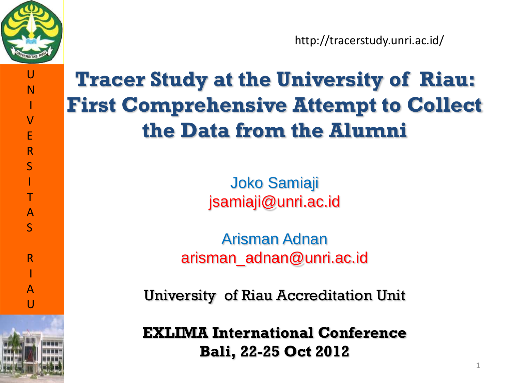

http://tracerstudy.unri.ac.id/

#### **Tracer Study at the University of Riau: First Comprehensive Attempt to Collect the Data from the Alumni**

Joko Samiaji jsamiaji@unri.ac.id

Arisman Adnan arisman\_adnan@unri.ac.id

University of Riau Accreditation Unit

**EXLIMA International Conference Bali, 22-25 Oct 2012**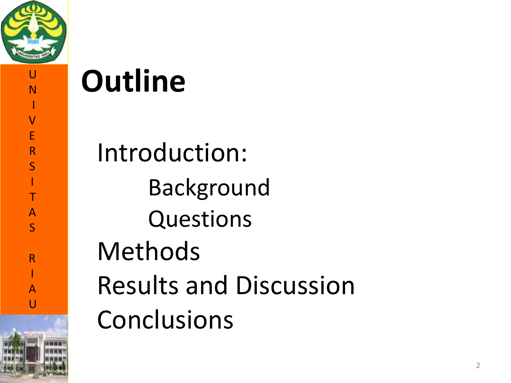

I V

E<br>R

S<br>I<br>T

AS

 $\mathsf{R}$ 

A $\overline{U}$ 

Introduction : Background Questions Methods Results and Discussion **Outline<br>
Introduction<br>
Backgrou<br>
Question<br>
Methods<br>
Results and<br>
Conclusions** 

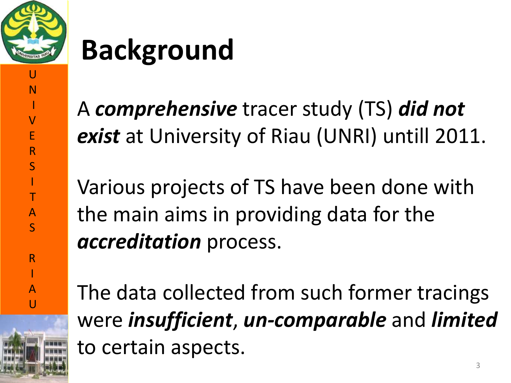

I V

E

R

S

I

T

A S

R

I

A  $\mathbf{U}$ 

## **Background**

A *comprehensive* tracer study (TS) *did not exist* at University of Riau (UNRI) untill 2011.

Various projects of TS have been done with the main aims in providing data for the *accreditation* process.

The data collected from such former tracings were *insufficient*, *un-comparable* and *limited* to certain aspects.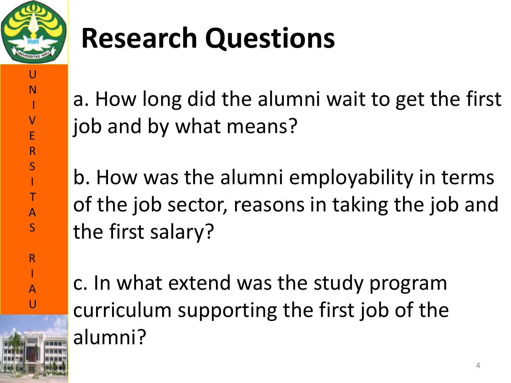

U

N

I

V E

R

S I

T

A S

R

I A

U

# **Research Questions**

a. How long did the alumni wait to get the first job and by what means?

b. How was the alumni employability in terms of the job sector, reasons in taking the job and the first salary?

c. In what extend was the study program curriculum supporting the first job of the alumni?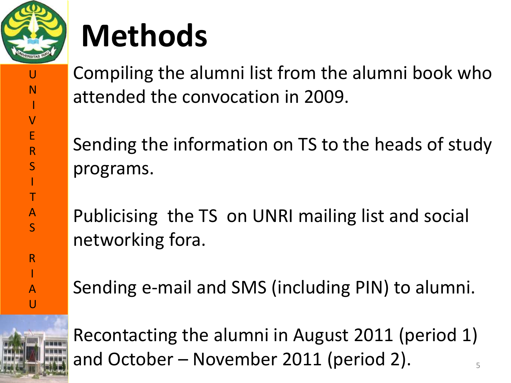

# **Methods**

U N I V E R S I T A S R I A U

Compiling the alumni list from the alumni book who attended the convocation in 2009.

Sending the information on TS to the heads of study programs.

Publicising the TS on UNRI mailing list and social networking fora.

Sending e-mail and SMS (including PIN) to alumni.



Recontacting the alumni in August 2011 (period 1) and October – November 2011 (period 2).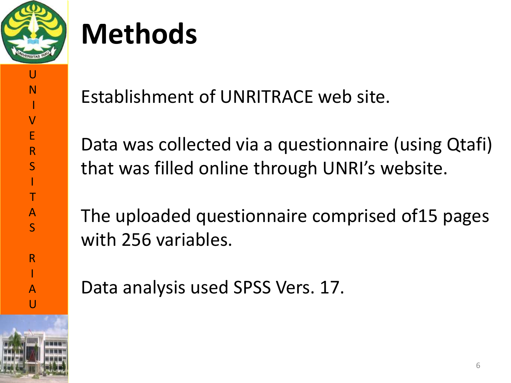

I

V

E

R

S

I

T

A S

R

I A

 $\overline{U}$ 

# **Methods**

Establishment of UNRITRACE web site.

Data was collected via a questionnaire (using Qtafi) that was filled online through UNRI's website.

The uploaded questionnaire comprised of15 pages with 256 variables.

Data analysis used SPSS Vers. 17.

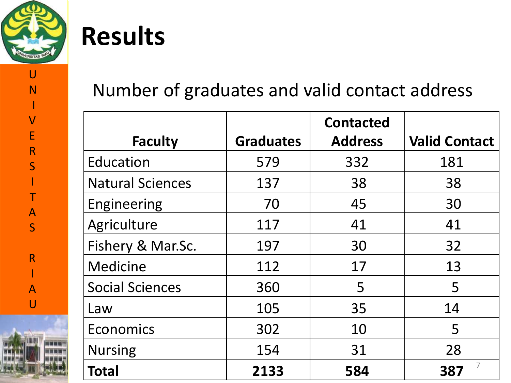

### **Results**

#### Number of graduates and valid contact address

|                         |                  | <b>Contacted</b> |                      |
|-------------------------|------------------|------------------|----------------------|
| <b>Faculty</b>          | <b>Graduates</b> | <b>Address</b>   | <b>Valid Contact</b> |
| Education               | 579              | 332              | 181                  |
| <b>Natural Sciences</b> | 137              | 38               | 38                   |
| Engineering             | 70               | 45               | 30                   |
| Agriculture             | 117              | 41               | 41                   |
| Fishery & Mar.Sc.       | 197              | 30               | 32                   |
| Medicine                | 112              | 17               | 13                   |
| <b>Social Sciences</b>  | 360              | 5                | 5                    |
| Law                     | 105              | 35               | 14                   |
| Economics               | 302              | 10               | 5                    |
| <b>Nursing</b>          | 154              | 31               | 28                   |
| <b>Total</b>            | 2133             | 584              | 387                  |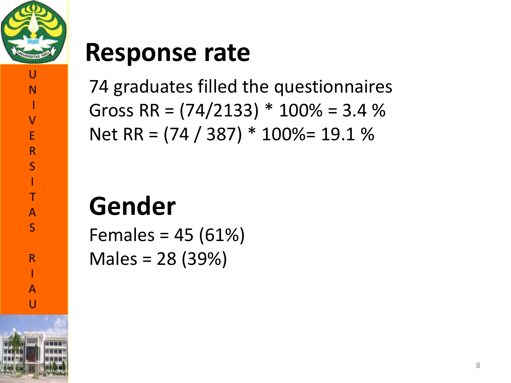

I

V

E

R

S

I

T A

S

R

I

A  $\overline{U}$ 

#### **Response rate**

74 graduates filled the questionnaires Gross RR =  $(74/2133)$  \*  $100\%$  = 3.4 % Net RR = (74 / 387) \* 100%= 19.1 %

### **Gender**

Females = 45 (61%) Males = 28 (39%)

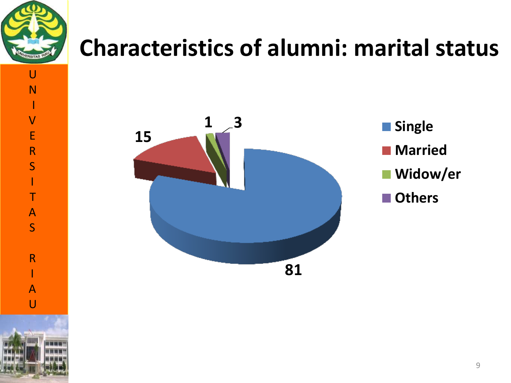

I

V

E

R

S

I

T

A S

R

I

A  $\overline{U}$ 

#### **Characteristics of alumni: marital status**





- **Married**
- **Widow/er**
- **Others**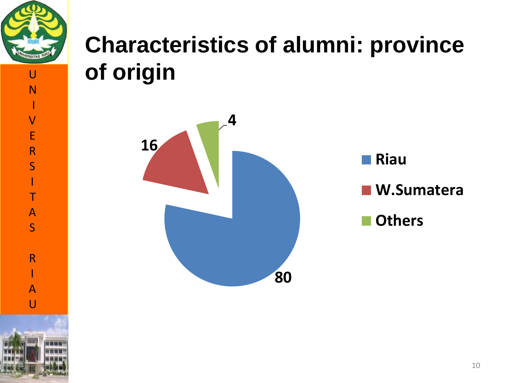

V

E

R

S

I

T

A S

R

I

A  $\overline{U}$ 

I

#### **Characteristics of alumni: province of origin**



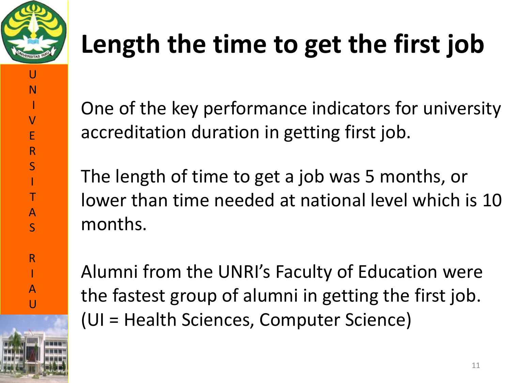

I

V

E

R

S

I

T

A S

R

I

A  $\overline{U}$ 

## **Length the time to get the first job**

One of the key performance indicators for university accreditation duration in getting first job.

The length of time to get a job was 5 months, or lower than time needed at national level which is 10 months.

Alumni from the UNRI's Faculty of Education were the fastest group of alumni in getting the first job. (UI = Health Sciences, Computer Science)

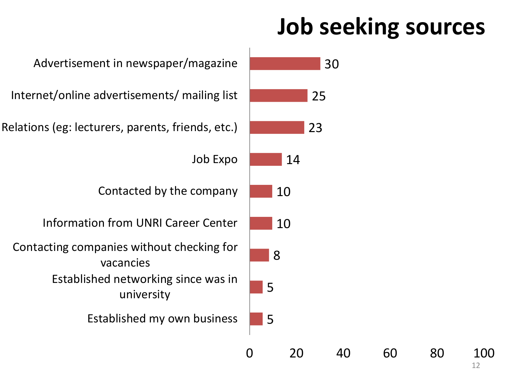#### **Job seeking sources**

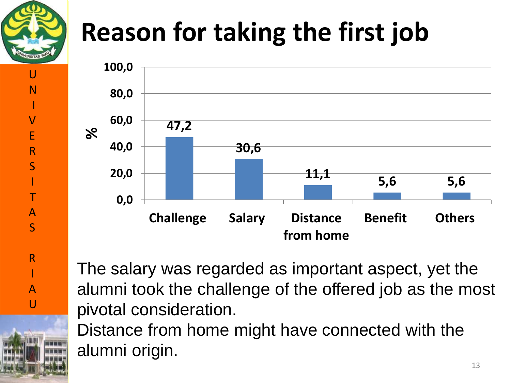

U

N

I

V

E

R

S

I

T

A S

R

I

A  $\overline{U}$ 

### **Reason for taking the first job**



The salary was regarded as important aspect, yet the alumni took the challenge of the offered job as the most pivotal consideration.

Distance from home might have connected with the alumni origin.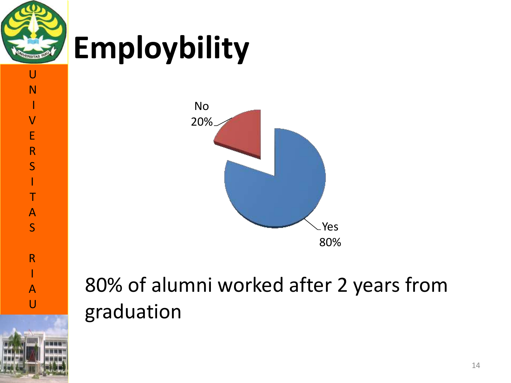

I

V

E

R

S

I T

A

S

# **Employbility**





#### 80% of alumni worked after 2 years from graduation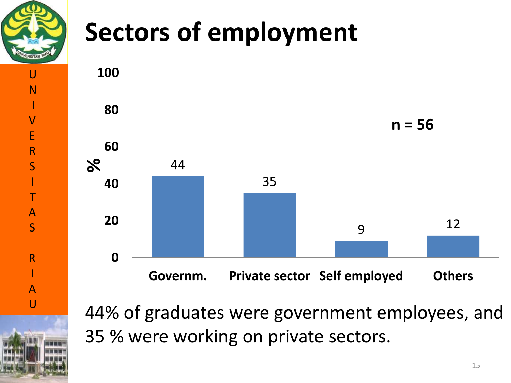

V

E

R

S

I

T

A S

R

I

A U

### **Sectors of employment**



44% of graduates were government employees, and 35 % were working on private sectors.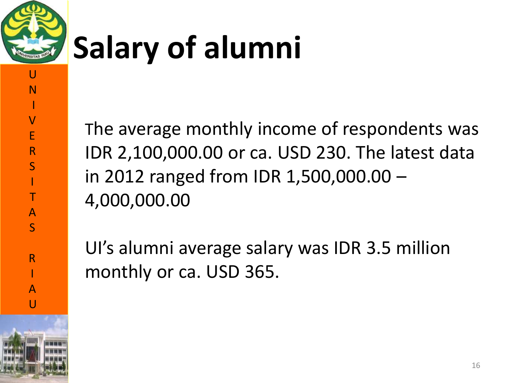

I

V E

R

S

I T

A S

R

I A  $\overline{U}$ 

# **Salary of alumni**

The average monthly income of respondents was IDR 2,100,000.00 or ca. USD 230. The latest data in 2012 ranged from IDR 1,500,000.00 – 4,000,000.00

UI's alumni average salary was IDR 3.5 million monthly or ca. USD 365.

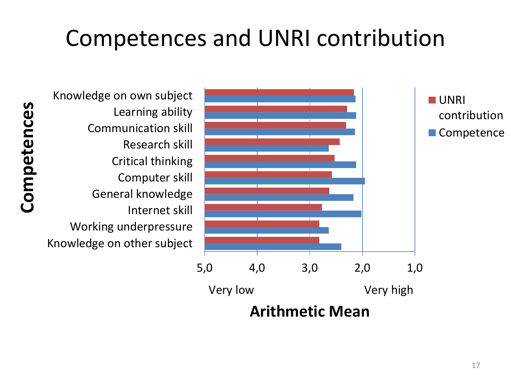#### Competences and UNRI contribution

Competences **Competences**

Knowledge on other subject Working underpressure Internet skill General knowledge Computer skill Critical thinking Research skill Communication skill Learning ability Knowledge on own subject

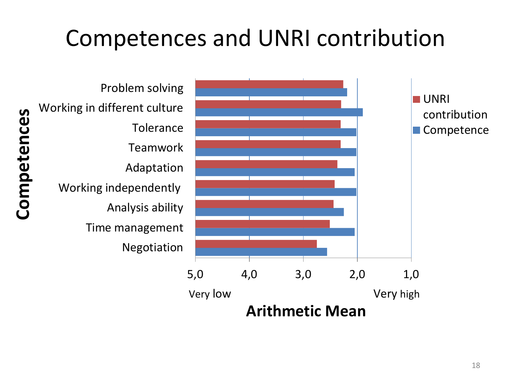#### Competences and UNRI contribution



18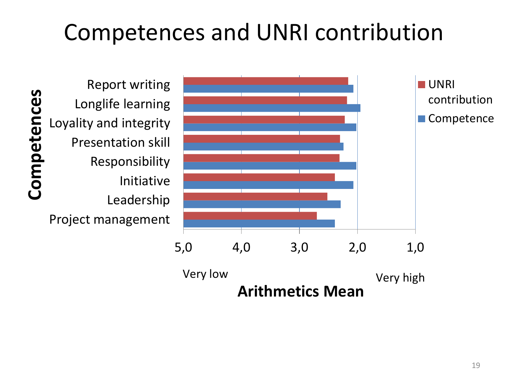#### Competences and UNRI contribution

Competences **Competences** Project management Leadership Initiative Responsibility Presentation skill Loyality and integrity Longlife learning Report writing

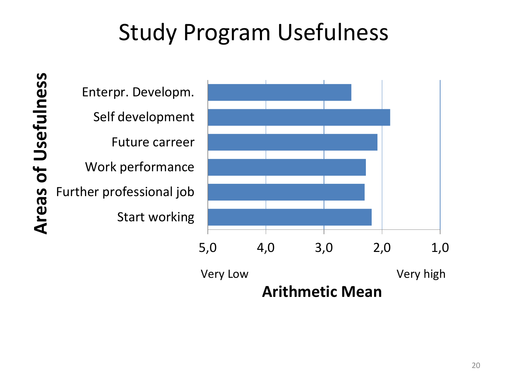#### Study Program Usefulness

of Usefulness **Areas of UsefulnessAreas** 

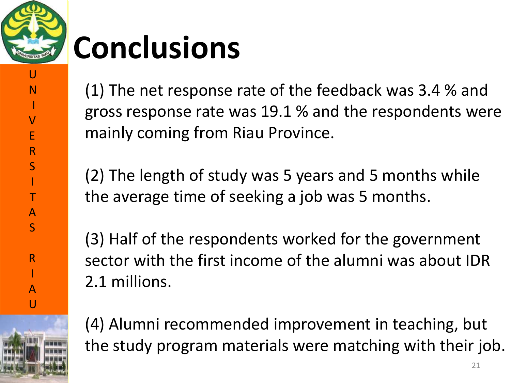

I

V

E

R

S

I T

A S

R

I A

 $\overline{U}$ 

# **Conclusions**

(1) The net response rate of the feedback was 3.4 % and gross response rate was 19.1 % and the respondents were mainly coming from Riau Province.

(2) The length of study was 5 years and 5 months while the average time of seeking a job was 5 months.

(3) Half of the respondents worked for the government sector with the first income of the alumni was about IDR 2.1 millions.

(4) Alumni recommended improvement in teaching, but the study program materials were matching with their job.